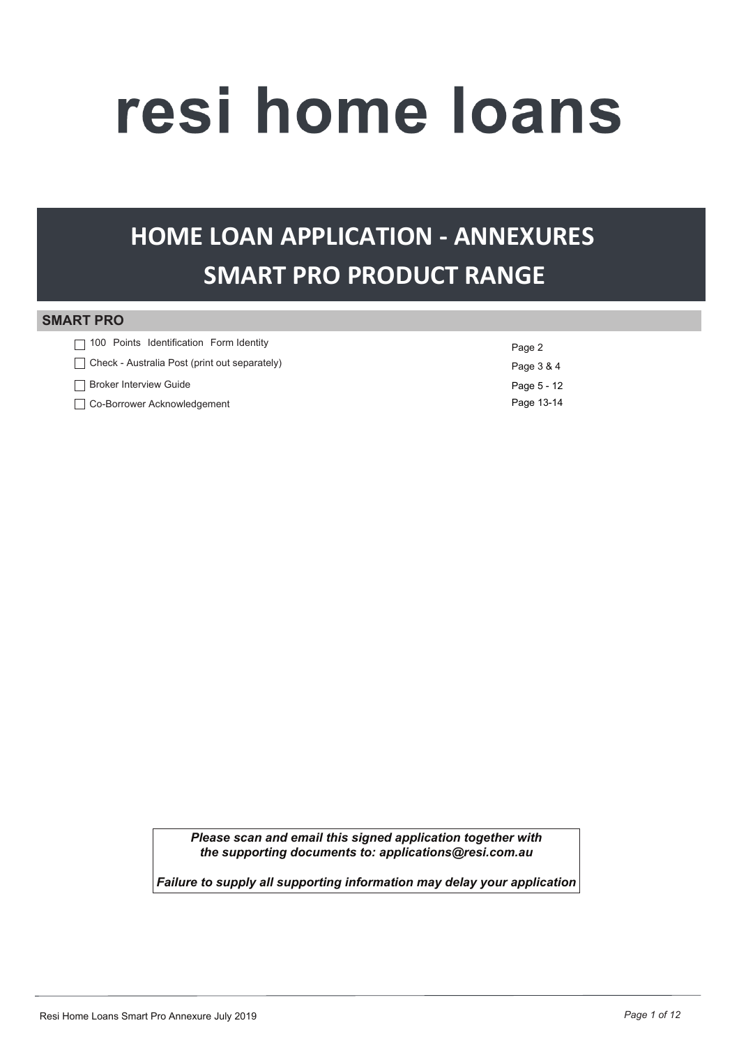# resi home loans

## **SMART PRO PRODUCT RANGE HOME LOAN APPLICATION - ANNEXURES**

#### **SMART PRO**

| $\Box$ 100 Points Identification Form Identity | Page 2      |
|------------------------------------------------|-------------|
| Check - Australia Post (print out separately)  | Page 3 & 4  |
| <b>Broker Interview Guide</b>                  | Page 5 - 12 |
| Co-Borrower Acknowledgement                    | Page 13-14  |

*Please scan and email this signed application together with the supporting documents to: applications@resi.com.au* 

*Failure to supply all supporting information may delay your application*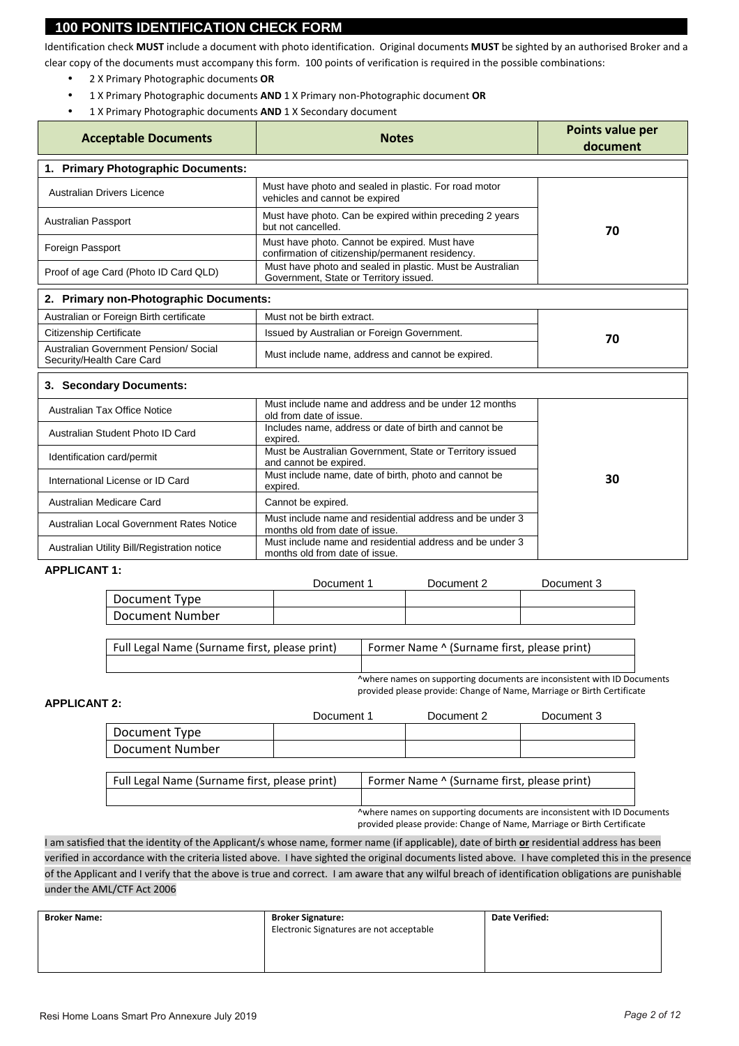#### **100 PONITS IDENTIFICATION CHECK FORM**

Identification check **MUST** include a document with photo identification. Original documents **MUST** be sighted by an authorised Broker and a clear copy of the documents must accompany this form. 100 points of verification is required in the possible combinations:

- 2 X Primary Photographic documents **OR**
- 1 X Primary Photographic documents **AND** 1 X Primary non-Photographic document **OR**
- 1 X Primary Photographic documents **AND** 1 X Secondary document

| <b>Acceptable Documents</b>                                        | <b>Notes</b>                                                                                        | Points value per<br>document |
|--------------------------------------------------------------------|-----------------------------------------------------------------------------------------------------|------------------------------|
| 1. Primary Photographic Documents:                                 |                                                                                                     |                              |
| Australian Drivers Licence                                         | Must have photo and sealed in plastic. For road motor<br>vehicles and cannot be expired             |                              |
| <b>Australian Passport</b>                                         | Must have photo. Can be expired within preceding 2 years<br>but not cancelled.                      | 70                           |
| Foreign Passport                                                   | Must have photo. Cannot be expired. Must have<br>confirmation of citizenship/permanent residency.   |                              |
| Proof of age Card (Photo ID Card QLD)                              | Must have photo and sealed in plastic. Must be Australian<br>Government, State or Territory issued. |                              |
| 2. Primary non-Photographic Documents:                             |                                                                                                     |                              |
| Australian or Foreign Birth certificate                            | Must not be birth extract.                                                                          |                              |
| <b>Citizenship Certificate</b>                                     | Issued by Australian or Foreign Government.                                                         | 70                           |
| Australian Government Pension/ Social<br>Security/Health Care Card | Must include name, address and cannot be expired.                                                   |                              |
| 3. Secondary Documents:                                            |                                                                                                     |                              |
| Australian Tax Office Notice                                       | Must include name and address and be under 12 months<br>old from date of issue.                     |                              |
| Australian Student Photo ID Card                                   | Includes name, address or date of birth and cannot be<br>expired.                                   |                              |
| Identification card/permit                                         | Must be Australian Government, State or Territory issued<br>and cannot be expired.                  |                              |
| International License or ID Card                                   | Must include name, date of birth, photo and cannot be<br>expired.                                   | 30                           |
| Australian Medicare Card                                           | Cannot be expired.                                                                                  |                              |
| Australian Local Government Rates Notice                           | Must include name and residential address and be under 3<br>months old from date of issue.          |                              |
| Australian Utility Bill/Registration notice                        | Must include name and residential address and be under 3<br>months old from date of issue.          |                              |

#### **APPLICANT 1:**

|                 | Document 1 | Document 2 | Document 3 |
|-----------------|------------|------------|------------|
| Document Type   |            |            |            |
| Document Number |            |            |            |

Full Legal Name (Surname first, please print) Former Name ^ (Surname first, please print)

^where names on supporting documents are inconsistent with ID Documents provided please provide: Change of Name, Marriage or Birth Certificate

#### **APPLICANT 2:**

|                 | Document 1 | Document 2 | Document 3 |
|-----------------|------------|------------|------------|
| Document Type   |            |            |            |
| Document Number |            |            |            |

Full Legal Name (Surname first, please print) Former Name ^ (Surname first, please print)

^where names on supporting documents are inconsistent with ID Documents provided please provide: Change of Name, Marriage or Birth Certificate

I am satisfied that the identity of the Applicant/s whose name, former name (if applicable), date of birth **or** residential address has been verified in accordance with the criteria listed above. I have sighted the original documents listed above. I have completed this in the presence of the Applicant and I verify that the above is true and correct. I am aware that any wilful breach of identification obligations are punishable under the AML/CTF Act 2006

| <b>Broker Name:</b> | <b>Broker Signature:</b>                 | <b>Date Verified:</b> |
|---------------------|------------------------------------------|-----------------------|
|                     | Electronic Signatures are not acceptable |                       |
|                     |                                          |                       |
|                     |                                          |                       |
|                     |                                          |                       |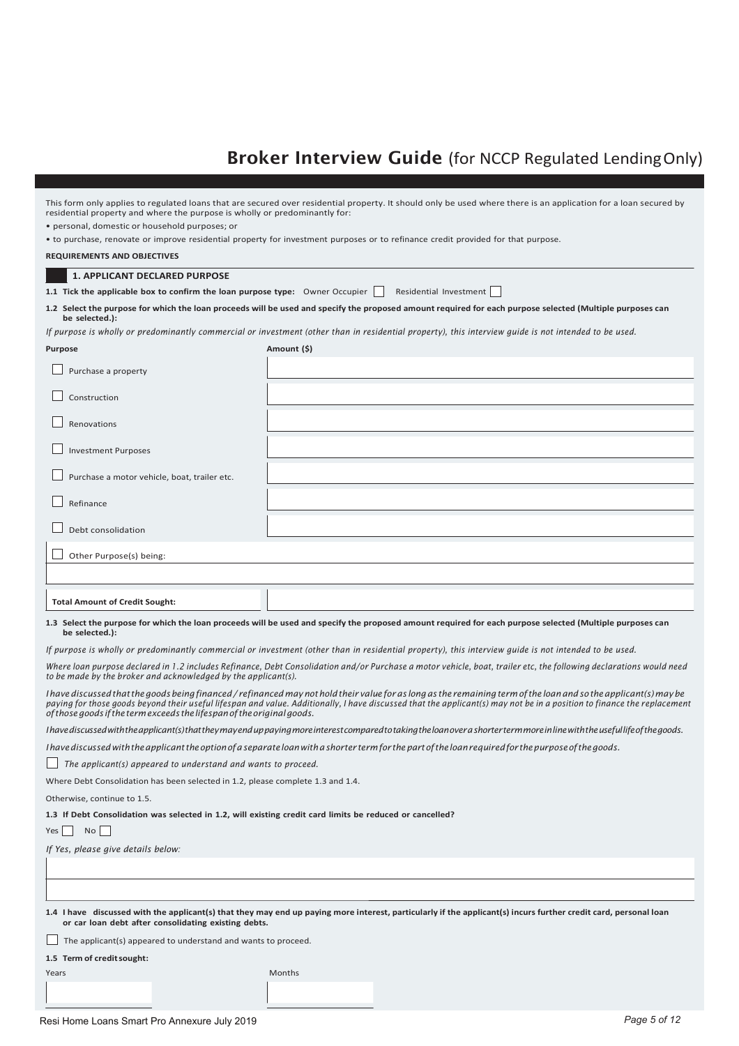### **Broker Interview Guide** (for NCCP Regulated Lending Only)

| residential property and where the purpose is wholly or predominantly for:                               | This form only applies to regulated loans that are secured over residential property. It should only be used where there is an application for a loan secured by                                                                                                                                                                             |  |  |  |  |
|----------------------------------------------------------------------------------------------------------|----------------------------------------------------------------------------------------------------------------------------------------------------------------------------------------------------------------------------------------------------------------------------------------------------------------------------------------------|--|--|--|--|
| · personal, domestic or household purposes; or                                                           |                                                                                                                                                                                                                                                                                                                                              |  |  |  |  |
|                                                                                                          | • to purchase, renovate or improve residential property for investment purposes or to refinance credit provided for that purpose.                                                                                                                                                                                                            |  |  |  |  |
| <b>REQUIREMENTS AND OBJECTIVES</b>                                                                       |                                                                                                                                                                                                                                                                                                                                              |  |  |  |  |
| <b>1. APPLICANT DECLARED PURPOSE</b>                                                                     |                                                                                                                                                                                                                                                                                                                                              |  |  |  |  |
| 1.1 Tick the applicable box to confirm the loan purpose type: Owner Occupier                             | Residential Investment                                                                                                                                                                                                                                                                                                                       |  |  |  |  |
| be selected.):                                                                                           | 1.2 Select the purpose for which the loan proceeds will be used and specify the proposed amount required for each purpose selected (Multiple purposes can                                                                                                                                                                                    |  |  |  |  |
|                                                                                                          | If purpose is wholly or predominantly commercial or investment (other than in residential property), this interview quide is not intended to be used.                                                                                                                                                                                        |  |  |  |  |
| <b>Purpose</b>                                                                                           | Amount (\$)                                                                                                                                                                                                                                                                                                                                  |  |  |  |  |
| Purchase a property                                                                                      |                                                                                                                                                                                                                                                                                                                                              |  |  |  |  |
| Construction                                                                                             |                                                                                                                                                                                                                                                                                                                                              |  |  |  |  |
| Renovations                                                                                              |                                                                                                                                                                                                                                                                                                                                              |  |  |  |  |
| <b>Investment Purposes</b>                                                                               |                                                                                                                                                                                                                                                                                                                                              |  |  |  |  |
| Purchase a motor vehicle, boat, trailer etc.                                                             |                                                                                                                                                                                                                                                                                                                                              |  |  |  |  |
| Refinance                                                                                                |                                                                                                                                                                                                                                                                                                                                              |  |  |  |  |
| Debt consolidation                                                                                       |                                                                                                                                                                                                                                                                                                                                              |  |  |  |  |
| Other Purpose(s) being:                                                                                  |                                                                                                                                                                                                                                                                                                                                              |  |  |  |  |
|                                                                                                          |                                                                                                                                                                                                                                                                                                                                              |  |  |  |  |
|                                                                                                          |                                                                                                                                                                                                                                                                                                                                              |  |  |  |  |
| <b>Total Amount of Credit Sought:</b>                                                                    |                                                                                                                                                                                                                                                                                                                                              |  |  |  |  |
| be selected.):                                                                                           | 1.3 Select the purpose for which the loan proceeds will be used and specify the proposed amount required for each purpose selected (Multiple purposes can                                                                                                                                                                                    |  |  |  |  |
|                                                                                                          | If purpose is wholly or predominantly commercial or investment (other than in residential property), this interview quide is not intended to be used.                                                                                                                                                                                        |  |  |  |  |
| to be made by the broker and acknowledged by the applicant(s).                                           | Where loan purpose declared in 1.2 includes Refinance, Debt Consolidation and/or Purchase a motor vehicle, boat, trailer etc, the following declarations would need                                                                                                                                                                          |  |  |  |  |
| of those goods if the term exceeds the lifespan of the original goods.                                   | I have discussed that the goods being financed / refinanced may not hold their value for as long as the remaining term of the loan and so the applicant(s) may be<br>paying for those goods beyond their useful lifespan and value. Additionally, I have discussed that the applicant(s) may not be in a position to finance the replacement |  |  |  |  |
|                                                                                                          | I have discussed with the applicant(s) that they may end up paying more interest compared to taking the loan over a shorter term more in line with the useful life of the goods.                                                                                                                                                             |  |  |  |  |
|                                                                                                          | I have discussed with the applicant the option of a separate loan with a shorter term for the part of the loan required for the purpose of the goods.                                                                                                                                                                                        |  |  |  |  |
|                                                                                                          | The applicant(s) appeared to understand and wants to proceed.                                                                                                                                                                                                                                                                                |  |  |  |  |
| Where Debt Consolidation has been selected in 1.2, please complete 1.3 and 1.4.                          |                                                                                                                                                                                                                                                                                                                                              |  |  |  |  |
| Otherwise, continue to 1.5.                                                                              |                                                                                                                                                                                                                                                                                                                                              |  |  |  |  |
| 1.3 If Debt Consolidation was selected in 1.2, will existing credit card limits be reduced or cancelled? |                                                                                                                                                                                                                                                                                                                                              |  |  |  |  |
| No<br>Yes                                                                                                |                                                                                                                                                                                                                                                                                                                                              |  |  |  |  |
| If Yes, please give details below:                                                                       |                                                                                                                                                                                                                                                                                                                                              |  |  |  |  |
|                                                                                                          |                                                                                                                                                                                                                                                                                                                                              |  |  |  |  |
|                                                                                                          |                                                                                                                                                                                                                                                                                                                                              |  |  |  |  |
|                                                                                                          |                                                                                                                                                                                                                                                                                                                                              |  |  |  |  |
| or car loan debt after consolidating existing debts.                                                     | 1.4 I have discussed with the applicant(s) that they may end up paying more interest, particularly if the applicant(s) incurs further credit card, personal loan                                                                                                                                                                             |  |  |  |  |
| The applicant(s) appeared to understand and wants to proceed.                                            |                                                                                                                                                                                                                                                                                                                                              |  |  |  |  |
| 1.5 Term of credit sought:                                                                               |                                                                                                                                                                                                                                                                                                                                              |  |  |  |  |
|                                                                                                          |                                                                                                                                                                                                                                                                                                                                              |  |  |  |  |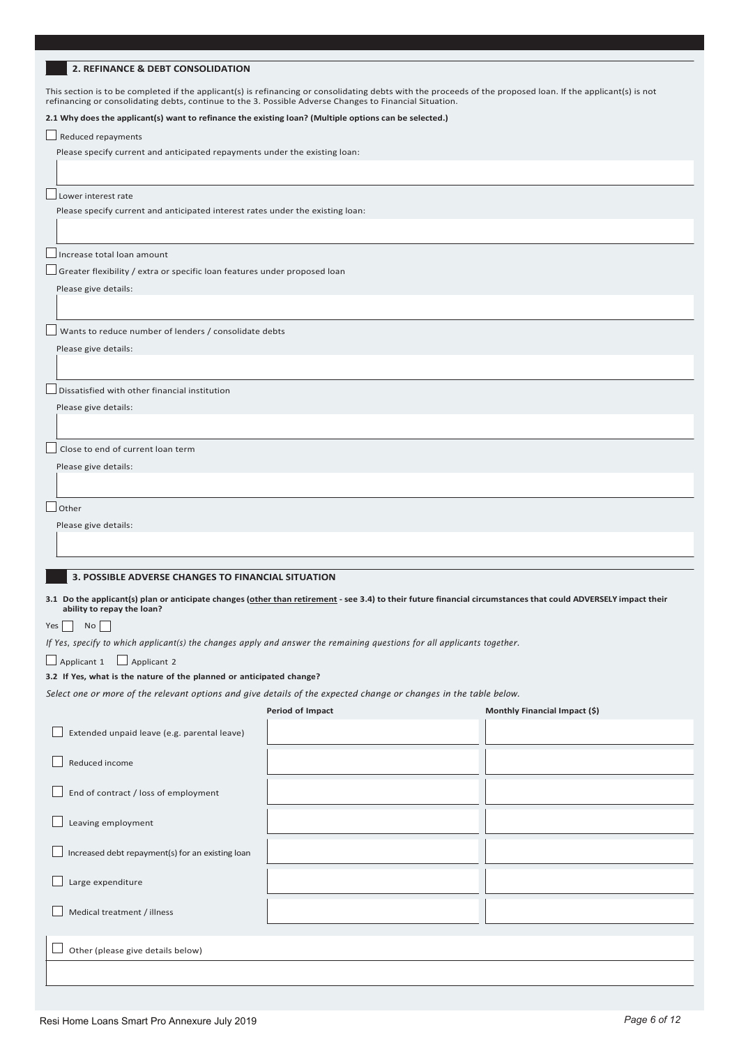#### **2. REFINANCE & DEBT CONSOLIDATION**

This section is to be completed if the applicant(s) is refinancing or consolidating debts with the proceeds of the proposed loan. If the applicant(s) is not refinancing or consolidating debts, continue to the 3. Possible Adverse Changes to Financial Situation.

#### **2.1 Why does the applicant(s) want to refinance the existing loan? (Multiple options can be selected.)**

 $\Box$  Reduced repayments

Please specify current and anticipated repayments under the existing loan:

Lower interest rate

Please specify current and anticipated interest rates under the existing loan:

Increase total loan amount

Greater flexibility / extra or specific loan features under proposed loan

Please give details:

Wants to reduce number of lenders / consolidate debts

Please give details:

Dissatisfied with other financial institution

Please give details:

Close to end of current loan term

Please give details:

 $\Box$  Other

Please give details:

#### **3. POSSIBLE ADVERSE CHANGES TO FINANCIAL SITUATION**

**3.1 Do the applicant(s) plan or anticipate changes (other than retirement - see 3.4) to their future financial circumstances that could ADVERSELY impact their ability to repay the loan?**

Yes  $\Box$  No  $\Box$ 

*If Yes, specify to which applicant(s) the changes apply and answer the remaining questions for all applicants together.*

Applicant 1 Applicant 2

#### **3.2 If Yes, what is the nature of the planned or anticipated change?**

*Select one or more of the relevant options and give details of the expected change or changes in the table below.*

|  | Period of Impact |  |
|--|------------------|--|
|  |                  |  |

| Extended unpaid leave (e.g. parental leave)      |  |
|--------------------------------------------------|--|
| Reduced income                                   |  |
| End of contract / loss of employment             |  |
| Leaving employment                               |  |
| Increased debt repayment(s) for an existing loan |  |
| Large expenditure                                |  |
| Medical treatment / illness                      |  |
|                                                  |  |
| Other (please give details below)                |  |
|                                                  |  |

**Monthly Financial Impact (\$)**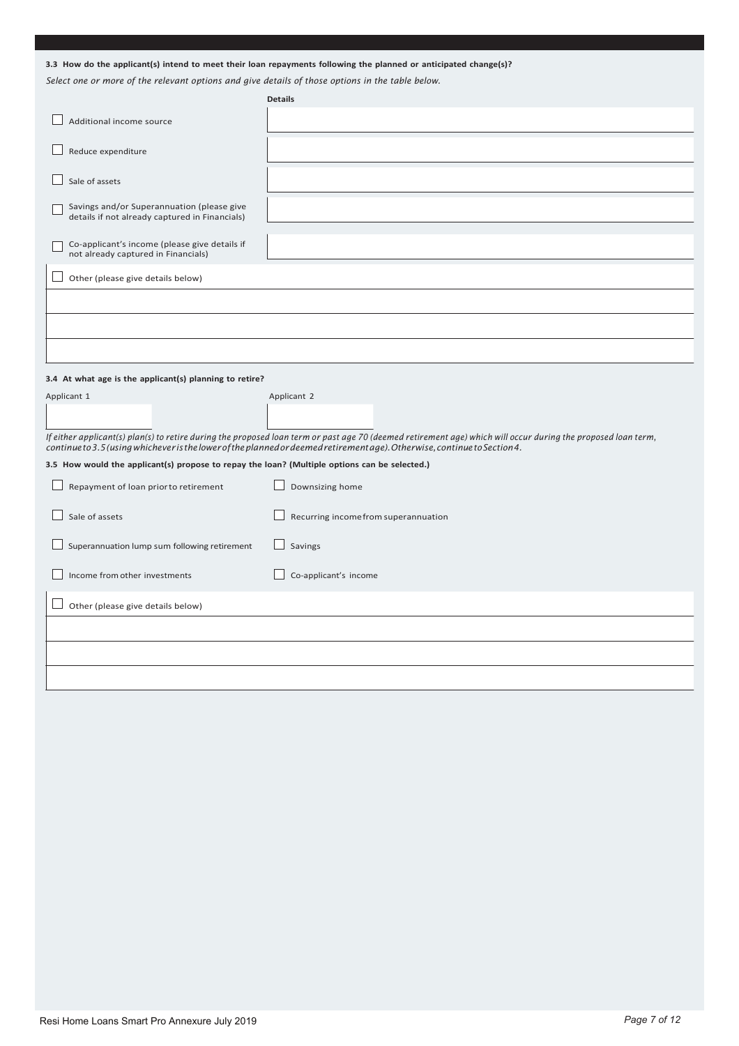|  | 3.3 How do the applicant(s) intend to meet their loan repayments following the planned or anticipated change(s)? |  |  |
|--|------------------------------------------------------------------------------------------------------------------|--|--|
|--|------------------------------------------------------------------------------------------------------------------|--|--|

*Select one or more of the relevant options and give details of those options in the table below.*

|                                                                                               | <b>Details</b>                                                                                                                                                                                                                                                                             |
|-----------------------------------------------------------------------------------------------|--------------------------------------------------------------------------------------------------------------------------------------------------------------------------------------------------------------------------------------------------------------------------------------------|
| Additional income source                                                                      |                                                                                                                                                                                                                                                                                            |
| Reduce expenditure                                                                            |                                                                                                                                                                                                                                                                                            |
| Sale of assets                                                                                |                                                                                                                                                                                                                                                                                            |
| Savings and/or Superannuation (please give<br>details if not already captured in Financials)  |                                                                                                                                                                                                                                                                                            |
| Co-applicant's income (please give details if<br>not already captured in Financials)          |                                                                                                                                                                                                                                                                                            |
| Other (please give details below)                                                             |                                                                                                                                                                                                                                                                                            |
|                                                                                               |                                                                                                                                                                                                                                                                                            |
|                                                                                               |                                                                                                                                                                                                                                                                                            |
|                                                                                               |                                                                                                                                                                                                                                                                                            |
| 3.4 At what age is the applicant(s) planning to retire?                                       |                                                                                                                                                                                                                                                                                            |
|                                                                                               |                                                                                                                                                                                                                                                                                            |
| Applicant 1                                                                                   | Applicant 2                                                                                                                                                                                                                                                                                |
|                                                                                               |                                                                                                                                                                                                                                                                                            |
|                                                                                               | If either applicant(s) plan(s) to retire during the proposed loan term or past age 70 (deemed retirement age) which will occur during the proposed loan term,<br>continue to 3.5 (using whichever is the lower of the planned or deemed retirement age). Otherwise, continue to Section 4. |
| 3.5 How would the applicant(s) propose to repay the loan? (Multiple options can be selected.) |                                                                                                                                                                                                                                                                                            |
| Repayment of loan prior to retirement                                                         | Downsizing home                                                                                                                                                                                                                                                                            |
| Sale of assets                                                                                | Recurring income from superannuation                                                                                                                                                                                                                                                       |
| Superannuation lump sum following retirement                                                  | Savings                                                                                                                                                                                                                                                                                    |
| Income from other investments                                                                 | Co-applicant's income                                                                                                                                                                                                                                                                      |
| Other (please give details below)                                                             |                                                                                                                                                                                                                                                                                            |
|                                                                                               |                                                                                                                                                                                                                                                                                            |
|                                                                                               |                                                                                                                                                                                                                                                                                            |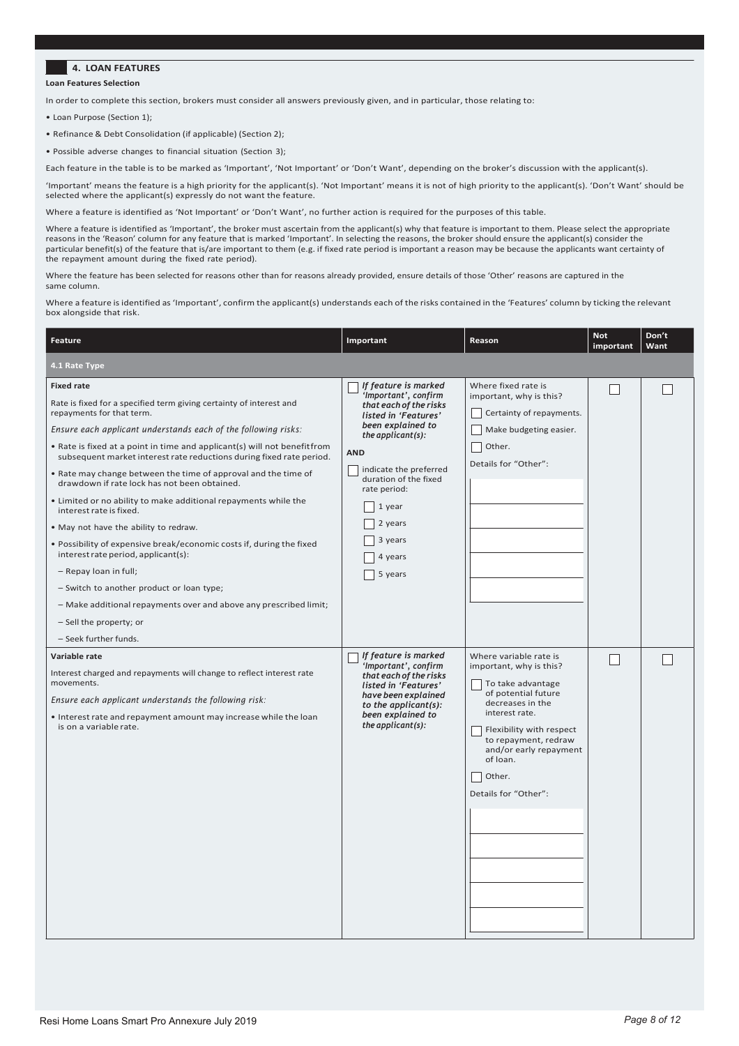#### **4. LOAN FEATURES**

#### **Loan Features Selection**

In order to complete this section, brokers must consider all answers previously given, and in particular, those relating to:

- Loan Purpose (Section 1);
- Refinance & Debt Consolidation (if applicable) (Section 2);
- Possible adverse changes to financial situation (Section 3);

Each feature in the table is to be marked as 'Important', 'Not Important' or 'Don't Want', depending on the broker's discussion with the applicant(s).

'Important' means the feature is a high priority for the applicant(s). 'Not Important' means it is not of high priority to the applicant(s). 'Don't Want' should be selected where the applicant(s) expressly do not want the feature.

Where a feature is identified as 'Not Important' or 'Don't Want', no further action is required for the purposes of this table.

Where a feature is identified as 'Important', the broker must ascertain from the applicant(s) why that feature is important to them. Please select the appropriate reasons in the 'Reason' column for any feature that is marked 'Important'. In selecting the reasons, the broker should ensure the applicant(s) consider the particular benefit(s) of the feature that is/are important to them (e.g. if fixed rate period is important a reason may be because the applicants want certainty of the repayment amount during the fixed rate period).

Where the feature has been selected for reasons other than for reasons already provided, ensure details of those 'Other' reasons are captured in the same column.

Where a feature is identified as 'Important', confirm the applicant(s) understands each of the risks contained in the 'Features' column by ticking the relevant box alongside that risk.

| Feature                                                                                                                                                                                                                                                                                                                                                                                                                                                                                                                                                                                                                                                                                                                                                                                                                                                                                                            | Important                                                                                                                                                                                                                                                                           | Reason                                                                                                                                                                                                                                                          | <b>Not</b><br>important | Don't<br>Want |
|--------------------------------------------------------------------------------------------------------------------------------------------------------------------------------------------------------------------------------------------------------------------------------------------------------------------------------------------------------------------------------------------------------------------------------------------------------------------------------------------------------------------------------------------------------------------------------------------------------------------------------------------------------------------------------------------------------------------------------------------------------------------------------------------------------------------------------------------------------------------------------------------------------------------|-------------------------------------------------------------------------------------------------------------------------------------------------------------------------------------------------------------------------------------------------------------------------------------|-----------------------------------------------------------------------------------------------------------------------------------------------------------------------------------------------------------------------------------------------------------------|-------------------------|---------------|
| 4.1 Rate Type                                                                                                                                                                                                                                                                                                                                                                                                                                                                                                                                                                                                                                                                                                                                                                                                                                                                                                      |                                                                                                                                                                                                                                                                                     |                                                                                                                                                                                                                                                                 |                         |               |
| <b>Fixed rate</b><br>Rate is fixed for a specified term giving certainty of interest and<br>repayments for that term.<br>Ensure each applicant understands each of the following risks:<br>• Rate is fixed at a point in time and applicant(s) will not benefitfrom<br>subsequent market interest rate reductions during fixed rate period.<br>. Rate may change between the time of approval and the time of<br>drawdown if rate lock has not been obtained.<br>. Limited or no ability to make additional repayments while the<br>interest rate is fixed.<br>. May not have the ability to redraw.<br>. Possibility of expensive break/economic costs if, during the fixed<br>interest rate period, applicant(s):<br>- Repay loan in full;<br>- Switch to another product or loan type;<br>- Make additional repayments over and above any prescribed limit;<br>- Sell the property; or<br>- Seek further funds. | If feature is marked<br>'Important', confirm<br>that each of the risks<br>listed in 'Features'<br>been explained to<br>the applicant $(s)$ :<br><b>AND</b><br>indicate the preferred<br>duration of the fixed<br>rate period:<br>1 year<br>2 years<br>3 years<br>4 years<br>5 years | Where fixed rate is<br>important, why is this?<br>Certainty of repayments.<br>Make budgeting easier.<br>Other.<br>Details for "Other":                                                                                                                          |                         |               |
| Variable rate<br>Interest charged and repayments will change to reflect interest rate<br>movements.<br>Ensure each applicant understands the following risk:<br>. Interest rate and repayment amount may increase while the loan<br>is on a variable rate.                                                                                                                                                                                                                                                                                                                                                                                                                                                                                                                                                                                                                                                         | If feature is marked<br>'Important', confirm<br>that each of the risks<br>listed in 'Features'<br>have been explained<br>to the applicant(s):<br>been explained to<br>the applicant $(s)$ :                                                                                         | Where variable rate is<br>important, why is this?<br>To take advantage<br>of potential future<br>decreases in the<br>interest rate.<br>Flexibility with respect<br>to repayment, redraw<br>and/or early repayment<br>of loan.<br>Other.<br>Details for "Other": | L                       |               |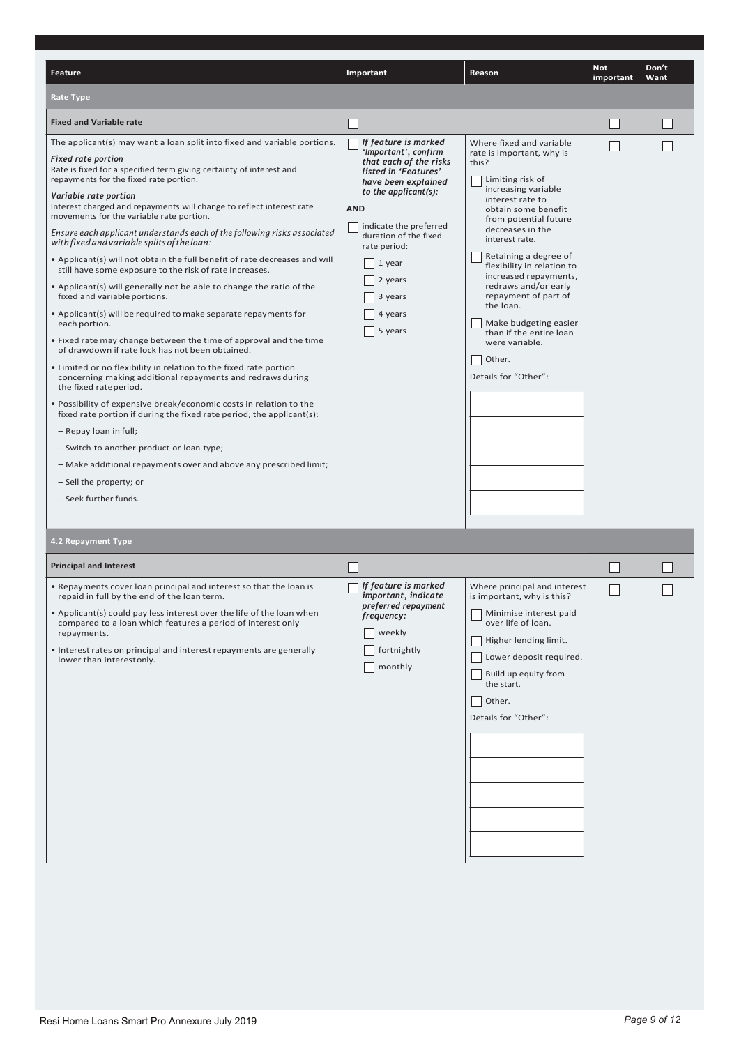| <b>Feature</b>                                                                                                                                                                                                                                                                                                                                                                                                                                                                                                                                                                                                                                                                                                                                                                                                                                                                                                                                                                                                                                                                                                                                                                                                                                                                                                                                                                                                                                                        | Important                                                                                                                                                                                                                                                                                | Reason                                                                                                                                                                                                                                                                                                                                                                                                                                                                   | <b>Not</b><br>important | Don't<br>Want |
|-----------------------------------------------------------------------------------------------------------------------------------------------------------------------------------------------------------------------------------------------------------------------------------------------------------------------------------------------------------------------------------------------------------------------------------------------------------------------------------------------------------------------------------------------------------------------------------------------------------------------------------------------------------------------------------------------------------------------------------------------------------------------------------------------------------------------------------------------------------------------------------------------------------------------------------------------------------------------------------------------------------------------------------------------------------------------------------------------------------------------------------------------------------------------------------------------------------------------------------------------------------------------------------------------------------------------------------------------------------------------------------------------------------------------------------------------------------------------|------------------------------------------------------------------------------------------------------------------------------------------------------------------------------------------------------------------------------------------------------------------------------------------|--------------------------------------------------------------------------------------------------------------------------------------------------------------------------------------------------------------------------------------------------------------------------------------------------------------------------------------------------------------------------------------------------------------------------------------------------------------------------|-------------------------|---------------|
| <b>Rate Type</b>                                                                                                                                                                                                                                                                                                                                                                                                                                                                                                                                                                                                                                                                                                                                                                                                                                                                                                                                                                                                                                                                                                                                                                                                                                                                                                                                                                                                                                                      |                                                                                                                                                                                                                                                                                          |                                                                                                                                                                                                                                                                                                                                                                                                                                                                          |                         |               |
| <b>Fixed and Variable rate</b>                                                                                                                                                                                                                                                                                                                                                                                                                                                                                                                                                                                                                                                                                                                                                                                                                                                                                                                                                                                                                                                                                                                                                                                                                                                                                                                                                                                                                                        |                                                                                                                                                                                                                                                                                          |                                                                                                                                                                                                                                                                                                                                                                                                                                                                          |                         |               |
| The applicant(s) may want a loan split into fixed and variable portions.<br><b>Fixed rate portion</b><br>Rate is fixed for a specified term giving certainty of interest and<br>repayments for the fixed rate portion.<br>Variable rate portion<br>Interest charged and repayments will change to reflect interest rate<br>movements for the variable rate portion.<br>Ensure each applicant understands each of the following risks associated<br>with fixed and variable splits of the loan:<br>• Applicant(s) will not obtain the full benefit of rate decreases and will<br>still have some exposure to the risk of rate increases.<br>• Applicant(s) will generally not be able to change the ratio of the<br>fixed and variable portions.<br>• Applicant(s) will be required to make separate repayments for<br>each portion.<br>• Fixed rate may change between the time of approval and the time<br>of drawdown if rate lock has not been obtained.<br>• Limited or no flexibility in relation to the fixed rate portion<br>concerning making additional repayments and redraws during<br>the fixed rateperiod.<br>. Possibility of expensive break/economic costs in relation to the<br>fixed rate portion if during the fixed rate period, the applicant(s):<br>- Repay loan in full;<br>- Switch to another product or loan type;<br>- Make additional repayments over and above any prescribed limit;<br>- Sell the property; or<br>- Seek further funds. | If feature is marked<br>'Important', confirm<br>that each of the risks<br>listed in 'Features'<br>have been explained<br>to the applicant $(s)$ :<br><b>AND</b><br>indicate the preferred<br>duration of the fixed<br>rate period:<br>1 year<br>2 years<br>3 years<br>4 years<br>5 years | Where fixed and variable<br>rate is important, why is<br>this?<br>Limiting risk of<br>increasing variable<br>interest rate to<br>obtain some benefit<br>from potential future<br>decreases in the<br>interest rate.<br>Retaining a degree of<br>flexibility in relation to<br>increased repayments,<br>redraws and/or early<br>repayment of part of<br>the loan.<br>Make budgeting easier<br>than if the entire loan<br>were variable.<br>Other.<br>Details for "Other": |                         |               |
| 4.2 Repayment Type                                                                                                                                                                                                                                                                                                                                                                                                                                                                                                                                                                                                                                                                                                                                                                                                                                                                                                                                                                                                                                                                                                                                                                                                                                                                                                                                                                                                                                                    |                                                                                                                                                                                                                                                                                          |                                                                                                                                                                                                                                                                                                                                                                                                                                                                          |                         |               |
| <b>Principal and Interest</b>                                                                                                                                                                                                                                                                                                                                                                                                                                                                                                                                                                                                                                                                                                                                                                                                                                                                                                                                                                                                                                                                                                                                                                                                                                                                                                                                                                                                                                         |                                                                                                                                                                                                                                                                                          |                                                                                                                                                                                                                                                                                                                                                                                                                                                                          |                         |               |
| . Repayments cover loan principal and interest so that the loan is<br>repaid in full by the end of the loan term.<br>• Applicant(s) could pay less interest over the life of the loan when<br>compared to a loan which features a period of interest only<br>repayments.<br>• Interest rates on principal and interest repayments are generally<br>lower than interestonly.                                                                                                                                                                                                                                                                                                                                                                                                                                                                                                                                                                                                                                                                                                                                                                                                                                                                                                                                                                                                                                                                                           | If feature is marked<br>important, indicate<br>preferred repayment<br>frequency:<br>weekly<br>fortnightly<br>monthly                                                                                                                                                                     | Where principal and interest<br>is important, why is this?<br>Minimise interest paid<br>over life of loan.<br>Higher lending limit.<br>Lower deposit required.<br>Build up equity from<br>the start.<br>Other.<br>Details for "Other":                                                                                                                                                                                                                                   |                         |               |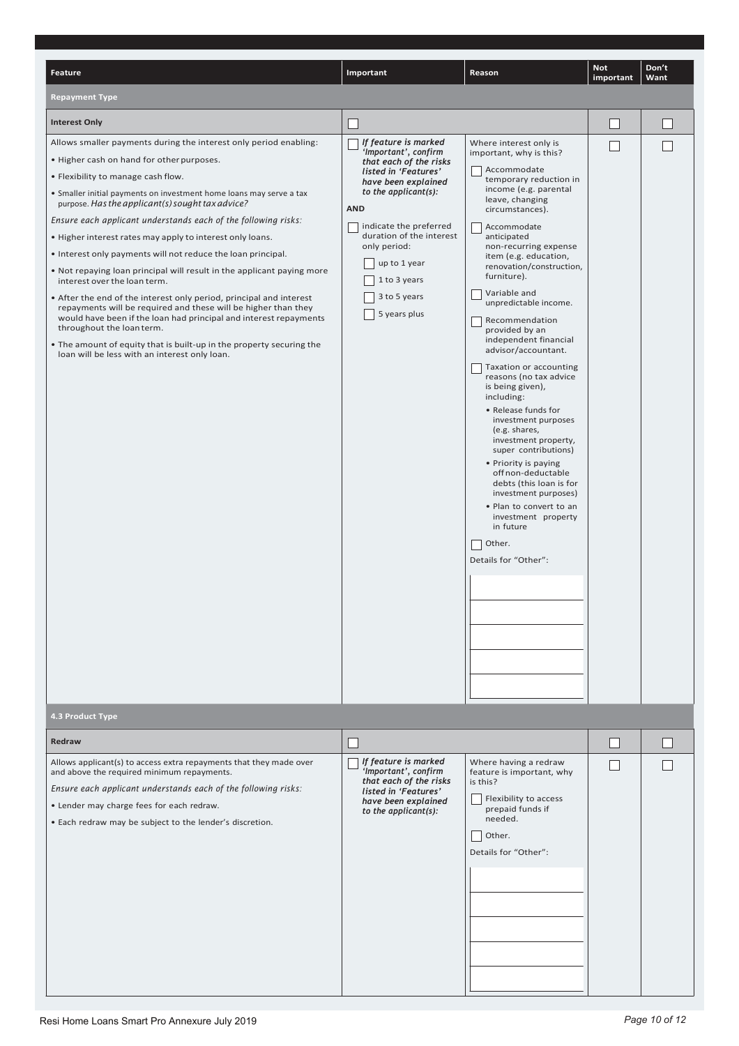| <b>Feature</b>                                                                                                                                                                                                                                                                                                                                                                                                                                                                                                                                                                                                                                                                                                                                                                                                                                                                                                                                                                       | Important                                                                                                                                                                                                                                                                                         | Reason                                                                                                                                                                                                                                                                                                                                                                                                                                                                                                                                                                                                                                                                                                                                                                                                                   | <b>Not</b><br>important     | Don't<br>Want |
|--------------------------------------------------------------------------------------------------------------------------------------------------------------------------------------------------------------------------------------------------------------------------------------------------------------------------------------------------------------------------------------------------------------------------------------------------------------------------------------------------------------------------------------------------------------------------------------------------------------------------------------------------------------------------------------------------------------------------------------------------------------------------------------------------------------------------------------------------------------------------------------------------------------------------------------------------------------------------------------|---------------------------------------------------------------------------------------------------------------------------------------------------------------------------------------------------------------------------------------------------------------------------------------------------|--------------------------------------------------------------------------------------------------------------------------------------------------------------------------------------------------------------------------------------------------------------------------------------------------------------------------------------------------------------------------------------------------------------------------------------------------------------------------------------------------------------------------------------------------------------------------------------------------------------------------------------------------------------------------------------------------------------------------------------------------------------------------------------------------------------------------|-----------------------------|---------------|
| <b>Repayment Type</b>                                                                                                                                                                                                                                                                                                                                                                                                                                                                                                                                                                                                                                                                                                                                                                                                                                                                                                                                                                |                                                                                                                                                                                                                                                                                                   |                                                                                                                                                                                                                                                                                                                                                                                                                                                                                                                                                                                                                                                                                                                                                                                                                          |                             |               |
|                                                                                                                                                                                                                                                                                                                                                                                                                                                                                                                                                                                                                                                                                                                                                                                                                                                                                                                                                                                      |                                                                                                                                                                                                                                                                                                   |                                                                                                                                                                                                                                                                                                                                                                                                                                                                                                                                                                                                                                                                                                                                                                                                                          |                             |               |
| <b>Interest Only</b><br>Allows smaller payments during the interest only period enabling:<br>. Higher cash on hand for other purposes.<br>• Flexibility to manage cash flow.<br>• Smaller initial payments on investment home loans may serve a tax<br>purpose. Has the applicant(s) sought tax advice?<br>Ensure each applicant understands each of the following risks:<br>. Higher interest rates may apply to interest only loans.<br>• Interest only payments will not reduce the loan principal.<br>. Not repaying loan principal will result in the applicant paying more<br>interest over the loan term.<br>• After the end of the interest only period, principal and interest<br>repayments will be required and these will be higher than they<br>would have been if the loan had principal and interest repayments<br>throughout the loan term.<br>. The amount of equity that is built-up in the property securing the<br>loan will be less with an interest only loan. | If feature is marked<br>'Important', confirm<br>that each of the risks<br>listed in 'Features'<br>have been explained<br>to the applicant(s):<br><b>AND</b><br>indicate the preferred<br>duration of the interest<br>only period:<br>up to 1 year<br>1 to 3 years<br>3 to 5 years<br>5 years plus | Where interest only is<br>important, why is this?<br>Accommodate<br>temporary reduction in<br>income (e.g. parental<br>leave, changing<br>circumstances).<br>Accommodate<br>anticipated<br>non-recurring expense<br>item (e.g. education,<br>renovation/construction,<br>furniture).<br>Variable and<br>unpredictable income.<br>Recommendation<br>provided by an<br>independent financial<br>advisor/accountant.<br>Taxation or accounting<br>reasons (no tax advice<br>is being given),<br>including:<br>• Release funds for<br>investment purposes<br>(e.g. shares,<br>investment property,<br>super contributions)<br>• Priority is paying<br>off non-deductable<br>debts (this loan is for<br>investment purposes)<br>. Plan to convert to an<br>investment property<br>in future<br>Other.<br>Details for "Other": | $\mathcal{L}_{\mathcal{A}}$ |               |
|                                                                                                                                                                                                                                                                                                                                                                                                                                                                                                                                                                                                                                                                                                                                                                                                                                                                                                                                                                                      |                                                                                                                                                                                                                                                                                                   |                                                                                                                                                                                                                                                                                                                                                                                                                                                                                                                                                                                                                                                                                                                                                                                                                          |                             |               |
| 4.3 Product Type                                                                                                                                                                                                                                                                                                                                                                                                                                                                                                                                                                                                                                                                                                                                                                                                                                                                                                                                                                     |                                                                                                                                                                                                                                                                                                   |                                                                                                                                                                                                                                                                                                                                                                                                                                                                                                                                                                                                                                                                                                                                                                                                                          |                             |               |
| Redraw                                                                                                                                                                                                                                                                                                                                                                                                                                                                                                                                                                                                                                                                                                                                                                                                                                                                                                                                                                               |                                                                                                                                                                                                                                                                                                   |                                                                                                                                                                                                                                                                                                                                                                                                                                                                                                                                                                                                                                                                                                                                                                                                                          | $\mathsf{L}$                |               |
| Allows applicant(s) to access extra repayments that they made over<br>and above the required minimum repayments.<br>Ensure each applicant understands each of the following risks:<br>• Lender may charge fees for each redraw.<br>. Each redraw may be subject to the lender's discretion.                                                                                                                                                                                                                                                                                                                                                                                                                                                                                                                                                                                                                                                                                          | If feature is marked<br>'Important', confirm<br>that each of the risks<br>listed in 'Features'<br>have been explained<br>to the applicant $(s)$ :                                                                                                                                                 | Where having a redraw<br>feature is important, why<br>is this?<br>Flexibility to access<br>prepaid funds if<br>needed.<br>  Other.<br>Details for "Other":                                                                                                                                                                                                                                                                                                                                                                                                                                                                                                                                                                                                                                                               | $\mathbf{I}$                |               |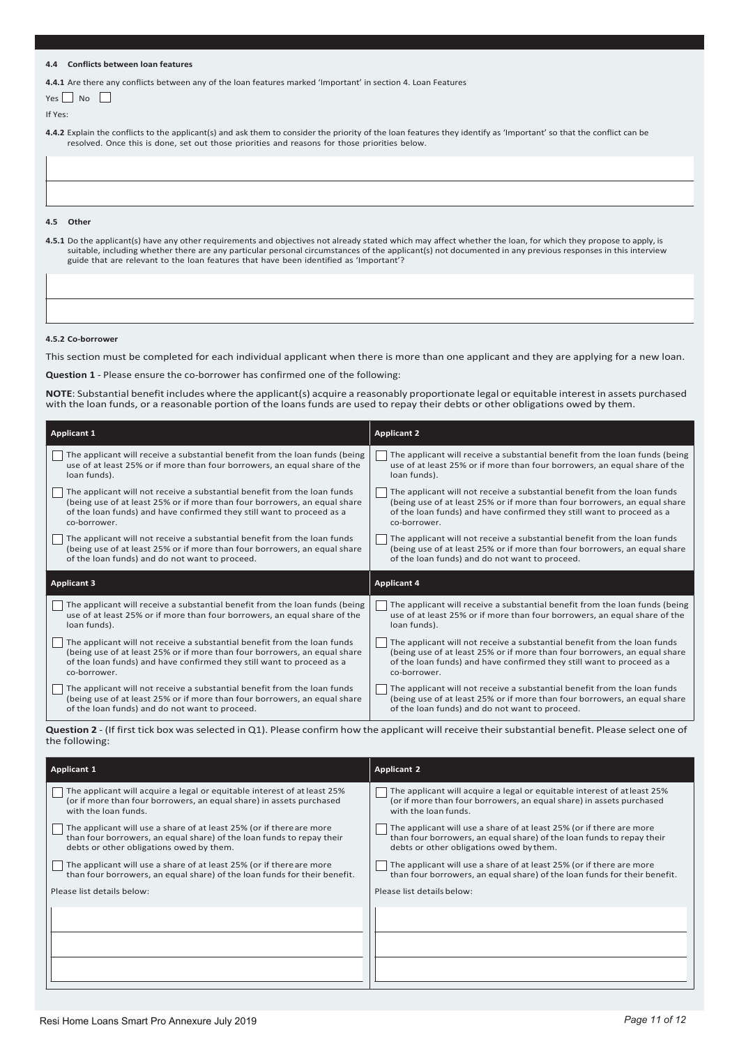#### **4.4 Conflicts between loan features**

**4.4.1** Are there any conflicts between any of the loan features marked 'Important' in section 4. Loan Features

| Yes | Nο |  |
|-----|----|--|
|-----|----|--|

If Yes:

**4.4.2** Explain the conflicts to the applicant(s) and ask them to consider the priority of the loan features they identify as 'Important' so that the conflict can be resolved. Once this is done, set out those priorities and reasons for those priorities below.

**4.5.1** Do the applicant(s) have any other requirements and objectives not already stated which may affect whether the loan, for which they propose to apply, is suitable, including whether there are any particular personal circumstances of the applicant(s) not documented in any previous responses in this interview

**4.5 Other**

#### **4.5.2 Co-borrower**

This section must be completed for each individual applicant when there is more than one applicant and they are applying for a new loan.

**Question 1** - Please ensure the co-borrower has confirmed one of the following:

guide that are relevant to the loan features that have been identified as 'Important'?

**NOTE**: Substantial benefit includes where the applicant(s) acquire a reasonably proportionate legal or equitable interest in assets purchased with the loan funds, or a reasonable portion of the loans funds are used to repay their debts or other obligations owed by them.

| <b>Applicant 1</b>                                                          | <b>Applicant 2</b>                                                          |
|-----------------------------------------------------------------------------|-----------------------------------------------------------------------------|
| The applicant will receive a substantial benefit from the loan funds (being | The applicant will receive a substantial benefit from the loan funds (being |
| use of at least 25% or if more than four borrowers, an equal share of the   | use of at least 25% or if more than four borrowers, an equal share of the   |
| loan funds).                                                                | loan funds).                                                                |
| The applicant will not receive a substantial benefit from the loan funds    | The applicant will not receive a substantial benefit from the loan funds    |
| (being use of at least 25% or if more than four borrowers, an equal share   | (being use of at least 25% or if more than four borrowers, an equal share   |
| of the loan funds) and have confirmed they still want to proceed as a       | of the loan funds) and have confirmed they still want to proceed as a       |
| co-borrower.                                                                | co-borrower.                                                                |
| The applicant will not receive a substantial benefit from the loan funds    | The applicant will not receive a substantial benefit from the loan funds    |
| (being use of at least 25% or if more than four borrowers, an equal share   | (being use of at least 25% or if more than four borrowers, an equal share   |
| of the loan funds) and do not want to proceed.                              | of the loan funds) and do not want to proceed.                              |
|                                                                             |                                                                             |
| <b>Applicant 3</b>                                                          | <b>Applicant 4</b>                                                          |
| The applicant will receive a substantial benefit from the loan funds (being | The applicant will receive a substantial benefit from the loan funds (being |
| use of at least 25% or if more than four borrowers, an equal share of the   | use of at least 25% or if more than four borrowers, an equal share of the   |
| loan funds).                                                                | loan funds).                                                                |
| The applicant will not receive a substantial benefit from the loan funds    | The applicant will not receive a substantial benefit from the loan funds    |
| (being use of at least 25% or if more than four borrowers, an equal share   | (being use of at least 25% or if more than four borrowers, an equal share   |
| of the loan funds) and have confirmed they still want to proceed as a       | of the loan funds) and have confirmed they still want to proceed as a       |
| co-borrower.                                                                | co-borrower.                                                                |

**Question 2** - (If first tick box was selected in Q1). Please confirm how the applicant will receive their substantial benefit. Please select one of the following:

| <b>Applicant 1</b>                                                                                                                                                                        | <b>Applicant 2</b>                                                                                                                                                                        |
|-------------------------------------------------------------------------------------------------------------------------------------------------------------------------------------------|-------------------------------------------------------------------------------------------------------------------------------------------------------------------------------------------|
| The applicant will acquire a legal or equitable interest of at least 25%<br>(or if more than four borrowers, an equal share) in assets purchased<br>with the loan funds.                  | The applicant will acquire a legal or equitable interest of at least 25%<br>(or if more than four borrowers, an equal share) in assets purchased<br>with the loan funds.                  |
| The applicant will use a share of at least 25% (or if there are more<br>than four borrowers, an equal share) of the loan funds to repay their<br>debts or other obligations owed by them. | The applicant will use a share of at least 25% (or if there are more<br>than four borrowers, an equal share) of the loan funds to repay their<br>debts or other obligations owed by them. |
| The applicant will use a share of at least 25% (or if there are more<br>than four borrowers, an equal share) of the loan funds for their benefit.                                         | The applicant will use a share of at least 25% (or if there are more<br>than four borrowers, an equal share) of the loan funds for their benefit.                                         |
| Please list details below:                                                                                                                                                                | Please list details below:                                                                                                                                                                |
|                                                                                                                                                                                           |                                                                                                                                                                                           |
|                                                                                                                                                                                           |                                                                                                                                                                                           |
|                                                                                                                                                                                           |                                                                                                                                                                                           |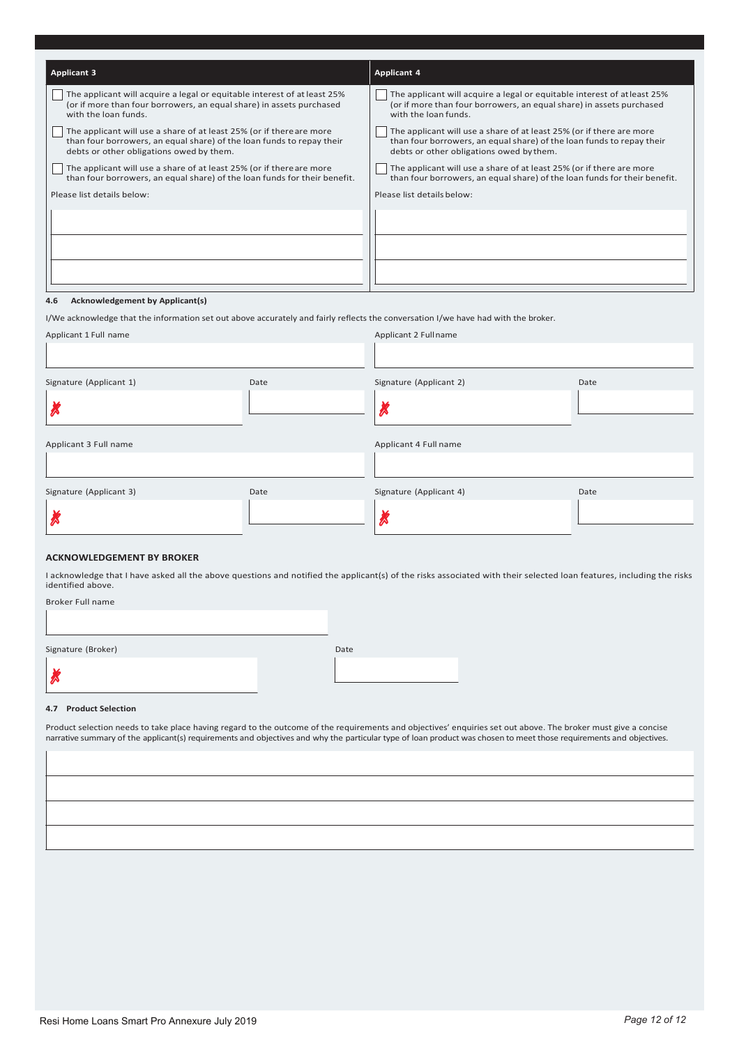| <b>Applicant 3</b>                                                                                                                                                                        | <b>Applicant 4</b>                                                                                                                                                                        |
|-------------------------------------------------------------------------------------------------------------------------------------------------------------------------------------------|-------------------------------------------------------------------------------------------------------------------------------------------------------------------------------------------|
| The applicant will acquire a legal or equitable interest of at least 25%<br>(or if more than four borrowers, an equal share) in assets purchased<br>with the loan funds.                  | The applicant will acquire a legal or equitable interest of at least 25%<br>(or if more than four borrowers, an equal share) in assets purchased<br>with the loan funds.                  |
| The applicant will use a share of at least 25% (or if there are more<br>than four borrowers, an equal share) of the loan funds to repay their<br>debts or other obligations owed by them. | The applicant will use a share of at least 25% (or if there are more<br>than four borrowers, an equal share) of the loan funds to repay their<br>debts or other obligations owed by them. |
| The applicant will use a share of at least 25% (or if there are more<br>than four borrowers, an equal share) of the loan funds for their benefit.                                         | The applicant will use a share of at least 25% (or if there are more<br>than four borrowers, an equal share) of the loan funds for their benefit.                                         |
| Please list details below:                                                                                                                                                                | Please list details below:                                                                                                                                                                |
|                                                                                                                                                                                           |                                                                                                                                                                                           |

#### **4.6 Acknowledgement by Applicant(s)**

I/We acknowledge that the information set out above accurately and fairly reflects the conversation I/we have had with the broker.

|      | Applicant 2 Fullname    |                                                  |
|------|-------------------------|--------------------------------------------------|
|      |                         |                                                  |
| Date | Signature (Applicant 2) | Date                                             |
|      |                         |                                                  |
|      |                         |                                                  |
|      |                         |                                                  |
|      |                         |                                                  |
|      |                         | Date                                             |
|      |                         |                                                  |
|      | Date                    | Applicant 4 Full name<br>Signature (Applicant 4) |

#### **ACKNOWLEDGEMENT BY BROKER**

I acknowledge that I have asked all the above questions and notified the applicant(s) of the risks associated with their selected loan features, including the risks identified above.

| Broker Full name |
|------------------|
|                  |

Signature (Broker) and Date Communication of the Communication of the Date Date

✗

#### **4.7 Product Selection**

Product selection needs to take place having regard to the outcome of the requirements and objectives' enquiries set out above. The broker must give a concise narrative summary of the applicant(s) requirements and objectives and why the particular type of loan product was chosen to meet those requirements and objectives.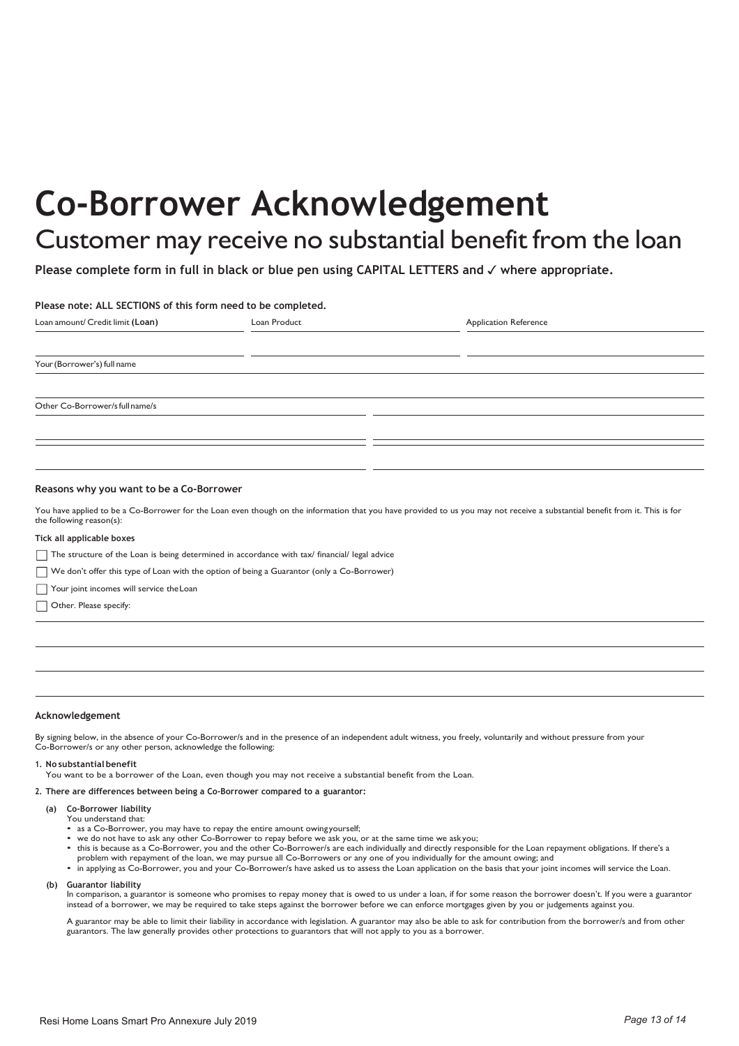# **Co-Borrower Acknowledgement**

### Customer may receive no substantial benefit from the loan

**Please complete form in full in black or blue pen using CAPITAL LETTERS and** ✓ **where appropriate.**

#### **Please note: ALL SECTIONS of this form need to be completed.**

| Loan amount/ Credit limit (Loan) | Loan Product | <b>Application Reference</b> |
|----------------------------------|--------------|------------------------------|
|                                  |              |                              |
| Your (Borrower's) full name      |              |                              |
|                                  |              |                              |
| Other Co-Borrower/s full name/s  |              |                              |
|                                  |              |                              |
|                                  |              |                              |
|                                  |              |                              |

#### **Reasons why you want to be a Co-Borrower**

You have applied to be a Co-Borrower for the Loan even though on the information that you have provided to us you may not receive a substantial benefit from it. This is for the following reason(s):

#### **Tick all applicable boxes**

- The structure of the Loan is being determined in accordance with tax/ financial/ legal advice
- We don't offer this type of Loan with the option of being a Guarantor (only a Co-Borrower)
- Your joint incomes will service the Loan
- Other. Please specify:

#### **Acknowledgement**

By signing below, in the absence of your Co-Borrower/s and in the presence of an independent adult witness, you freely, voluntarily and without pressure from your Co-Borrower/s or any other person, acknowledge the following:

#### **1. No substantial benefit**

You want to be a borrower of the Loan, even though you may not receive a substantial benefit from the Loan.

#### **2. There are differences between being a Co-Borrower compared to a guarantor:**

- **(a) Co-Borrower liability** You understand that:
	- as a Co-Borrower, you may have to repay the entire amount owing yourself;
	-
	- we do not have to ask any other Co-Borrower to repay before we ask you, or at the same time we askyou;<br>• this is because as a Co-Borrower, you and the other Co-Borrower/s are each individually and directly responsible fo problem with repayment of the loan, we may pursue all Co-Borrowers or any one of you individually for the amount owing; and
	- in applying as Co-Borrower, you and your Co-Borrower/s have asked us to assess the Loan application on the basis that your joint incomes will service the Loan.
- **Guarantor liability (b)**

In comparison, a guarantor is someone who promises to repay money that is owed to us under a loan, if for some reason the borrower doesn't. If you were a guarantor instead of a borrower, we may be required to take steps against the borrower before we can enforce mortgages given by you or judgements against you.

A guarantor may be able to limit their liability in accordance with legislation. A guarantor may also be able to ask for contribution from the borrower/s and from other guarantors. The law generally provides other protections to guarantors that will not apply to you as a borrower.